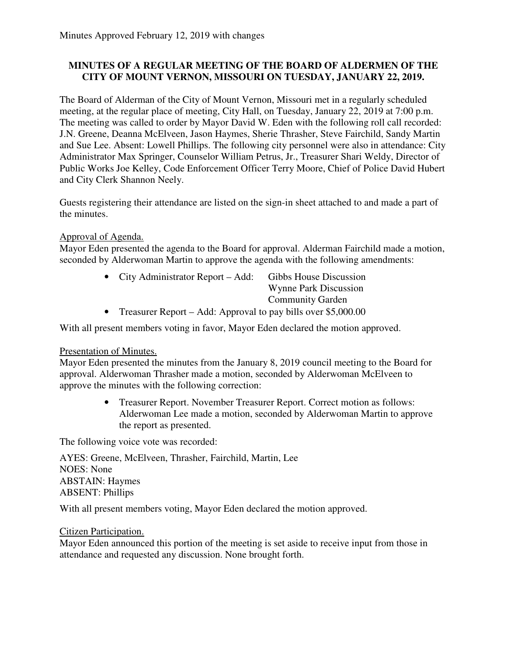## **MINUTES OF A REGULAR MEETING OF THE BOARD OF ALDERMEN OF THE CITY OF MOUNT VERNON, MISSOURI ON TUESDAY, JANUARY 22, 2019.**

The Board of Alderman of the City of Mount Vernon, Missouri met in a regularly scheduled meeting, at the regular place of meeting, City Hall, on Tuesday, January 22, 2019 at 7:00 p.m. The meeting was called to order by Mayor David W. Eden with the following roll call recorded: J.N. Greene, Deanna McElveen, Jason Haymes, Sherie Thrasher, Steve Fairchild, Sandy Martin and Sue Lee. Absent: Lowell Phillips. The following city personnel were also in attendance: City Administrator Max Springer, Counselor William Petrus, Jr., Treasurer Shari Weldy, Director of Public Works Joe Kelley, Code Enforcement Officer Terry Moore, Chief of Police David Hubert and City Clerk Shannon Neely.

Guests registering their attendance are listed on the sign-in sheet attached to and made a part of the minutes.

### Approval of Agenda.

Mayor Eden presented the agenda to the Board for approval. Alderman Fairchild made a motion, seconded by Alderwoman Martin to approve the agenda with the following amendments:

|           | • City Administrator Report $-$ Add:                          | Gibbs House Discussion       |
|-----------|---------------------------------------------------------------|------------------------------|
|           |                                                               | <b>Wynne Park Discussion</b> |
|           |                                                               | <b>Community Garden</b>      |
| $\bullet$ | Treasurer Report – Add: Approval to pay bills over \$5,000.00 |                              |

With all present members voting in favor, Mayor Eden declared the motion approved.

#### Presentation of Minutes.

Mayor Eden presented the minutes from the January 8, 2019 council meeting to the Board for approval. Alderwoman Thrasher made a motion, seconded by Alderwoman McElveen to approve the minutes with the following correction:

> • Treasurer Report. November Treasurer Report. Correct motion as follows: Alderwoman Lee made a motion, seconded by Alderwoman Martin to approve the report as presented.

The following voice vote was recorded:

AYES: Greene, McElveen, Thrasher, Fairchild, Martin, Lee NOES: None ABSTAIN: Haymes ABSENT: Phillips

With all present members voting, Mayor Eden declared the motion approved.

#### Citizen Participation.

Mayor Eden announced this portion of the meeting is set aside to receive input from those in attendance and requested any discussion. None brought forth.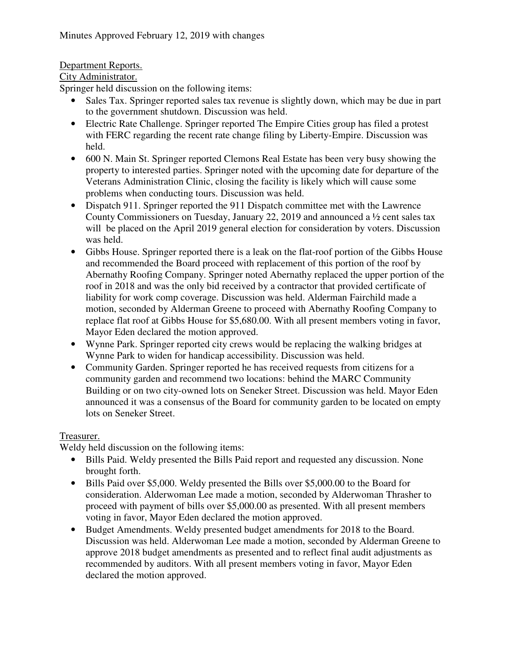# Department Reports.

## City Administrator.

Springer held discussion on the following items:

- Sales Tax. Springer reported sales tax revenue is slightly down, which may be due in part to the government shutdown. Discussion was held.
- Electric Rate Challenge. Springer reported The Empire Cities group has filed a protest with FERC regarding the recent rate change filing by Liberty-Empire. Discussion was held.
- 600 N. Main St. Springer reported Clemons Real Estate has been very busy showing the property to interested parties. Springer noted with the upcoming date for departure of the Veterans Administration Clinic, closing the facility is likely which will cause some problems when conducting tours. Discussion was held.
- Dispatch 911. Springer reported the 911 Dispatch committee met with the Lawrence County Commissioners on Tuesday, January 22, 2019 and announced a ½ cent sales tax will be placed on the April 2019 general election for consideration by voters. Discussion was held.
- Gibbs House. Springer reported there is a leak on the flat-roof portion of the Gibbs House and recommended the Board proceed with replacement of this portion of the roof by Abernathy Roofing Company. Springer noted Abernathy replaced the upper portion of the roof in 2018 and was the only bid received by a contractor that provided certificate of liability for work comp coverage. Discussion was held. Alderman Fairchild made a motion, seconded by Alderman Greene to proceed with Abernathy Roofing Company to replace flat roof at Gibbs House for \$5,680.00. With all present members voting in favor, Mayor Eden declared the motion approved.
- Wynne Park. Springer reported city crews would be replacing the walking bridges at Wynne Park to widen for handicap accessibility. Discussion was held.
- Community Garden. Springer reported he has received requests from citizens for a community garden and recommend two locations: behind the MARC Community Building or on two city-owned lots on Seneker Street. Discussion was held. Mayor Eden announced it was a consensus of the Board for community garden to be located on empty lots on Seneker Street.

## Treasurer.

Weldy held discussion on the following items:

- Bills Paid. Weldy presented the Bills Paid report and requested any discussion. None brought forth.
- Bills Paid over \$5,000. Weldy presented the Bills over \$5,000.00 to the Board for consideration. Alderwoman Lee made a motion, seconded by Alderwoman Thrasher to proceed with payment of bills over \$5,000.00 as presented. With all present members voting in favor, Mayor Eden declared the motion approved.
- Budget Amendments. Weldy presented budget amendments for 2018 to the Board. Discussion was held. Alderwoman Lee made a motion, seconded by Alderman Greene to approve 2018 budget amendments as presented and to reflect final audit adjustments as recommended by auditors. With all present members voting in favor, Mayor Eden declared the motion approved.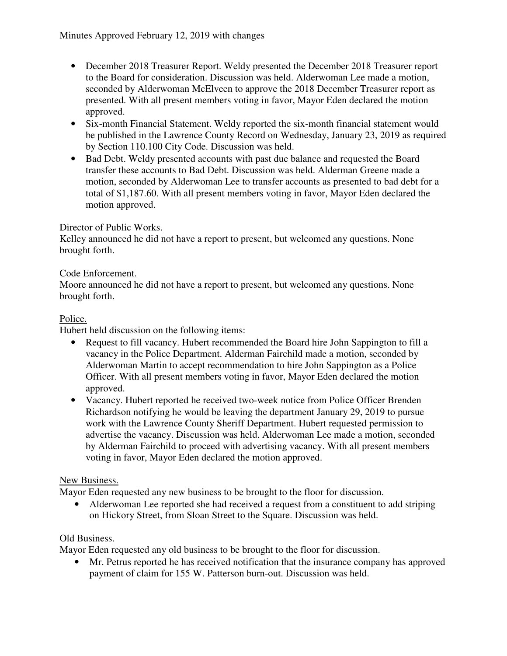- December 2018 Treasurer Report. Weldy presented the December 2018 Treasurer report to the Board for consideration. Discussion was held. Alderwoman Lee made a motion, seconded by Alderwoman McElveen to approve the 2018 December Treasurer report as presented. With all present members voting in favor, Mayor Eden declared the motion approved.
- Six-month Financial Statement. Weldy reported the six-month financial statement would be published in the Lawrence County Record on Wednesday, January 23, 2019 as required by Section 110.100 City Code. Discussion was held.
- Bad Debt. Weldy presented accounts with past due balance and requested the Board transfer these accounts to Bad Debt. Discussion was held. Alderman Greene made a motion, seconded by Alderwoman Lee to transfer accounts as presented to bad debt for a total of \$1,187.60. With all present members voting in favor, Mayor Eden declared the motion approved.

## Director of Public Works.

Kelley announced he did not have a report to present, but welcomed any questions. None brought forth.

## Code Enforcement.

Moore announced he did not have a report to present, but welcomed any questions. None brought forth.

## Police.

Hubert held discussion on the following items:

- Request to fill vacancy. Hubert recommended the Board hire John Sappington to fill a vacancy in the Police Department. Alderman Fairchild made a motion, seconded by Alderwoman Martin to accept recommendation to hire John Sappington as a Police Officer. With all present members voting in favor, Mayor Eden declared the motion approved.
- Vacancy. Hubert reported he received two-week notice from Police Officer Brenden Richardson notifying he would be leaving the department January 29, 2019 to pursue work with the Lawrence County Sheriff Department. Hubert requested permission to advertise the vacancy. Discussion was held. Alderwoman Lee made a motion, seconded by Alderman Fairchild to proceed with advertising vacancy. With all present members voting in favor, Mayor Eden declared the motion approved.

## New Business.

Mayor Eden requested any new business to be brought to the floor for discussion.

• Alderwoman Lee reported she had received a request from a constituent to add striping on Hickory Street, from Sloan Street to the Square. Discussion was held.

## Old Business.

Mayor Eden requested any old business to be brought to the floor for discussion.

• Mr. Petrus reported he has received notification that the insurance company has approved payment of claim for 155 W. Patterson burn-out. Discussion was held.